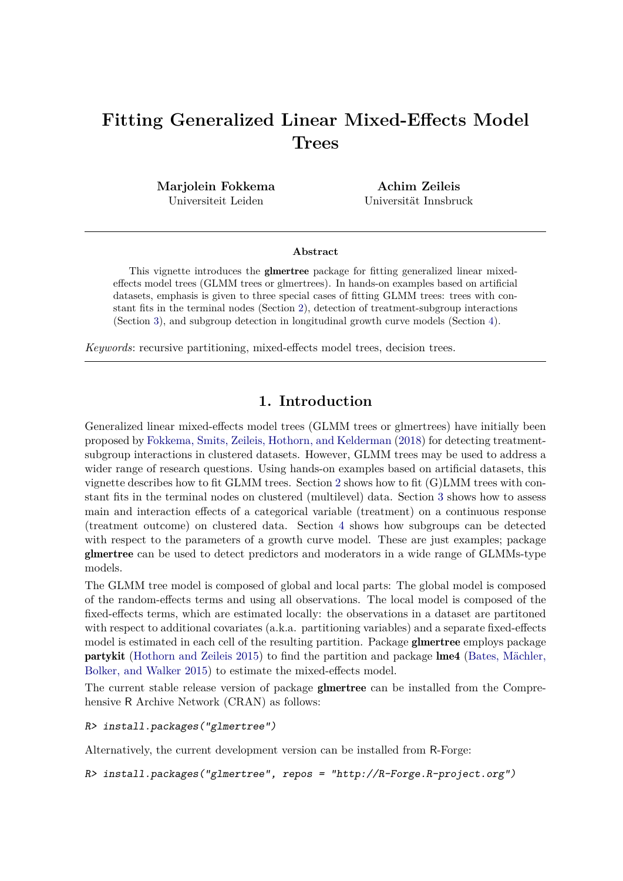# **Fitting Generalized Linear Mixed-Effects Model Trees**

**Marjolein Fokkema** Universiteit Leiden

**Achim Zeileis** Universität Innsbruck

#### **Abstract**

This vignette introduces the glmertree package for fitting generalized linear mixedeffects model trees (GLMM trees or glmertrees). In hands-on examples based on artificial datasets, emphasis is given to three special cases of fitting GLMM trees: trees with constant fits in the terminal nodes (Section [2\)](#page-1-0), detection of treatment-subgroup interactions (Section [3\)](#page-6-0), and subgroup detection in longitudinal growth curve models (Section [4\)](#page-10-0).

*Keywords*: recursive partitioning, mixed-effects model trees, decision trees.

# **1. Introduction**

Generalized linear mixed-effects model trees (GLMM trees or glmertrees) have initially been proposed by [Fokkema, Smits, Zeileis, Hothorn, and Kelderman](#page-16-0) [\(2018\)](#page-16-0) for detecting treatmentsubgroup interactions in clustered datasets. However, GLMM trees may be used to address a wider range of research questions. Using hands-on examples based on artificial datasets, this vignette describes how to fit GLMM trees. Section [2](#page-1-0) shows how to fit (G)LMM trees with constant fits in the terminal nodes on clustered (multilevel) data. Section [3](#page-6-0) shows how to assess main and interaction effects of a categorical variable (treatment) on a continuous response (treatment outcome) on clustered data. Section [4](#page-10-0) shows how subgroups can be detected with respect to the parameters of a growth curve model. These are just examples; package glmertree can be used to detect predictors and moderators in a wide range of GLMMs-type models.

The GLMM tree model is composed of global and local parts: The global model is composed of the random-effects terms and using all observations. The local model is composed of the fixed-effects terms, which are estimated locally: the observations in a dataset are partitoned with respect to additional covariates (a.k.a. partitioning variables) and a separate fixed-effects model is estimated in each cell of the resulting partition. Package **glmertree** employs package partykit [\(Hothorn and Zeileis 2015\)](#page-16-1) to find the partition and package lme4 [\(Bates, Mächler,](#page-16-2) [Bolker, and Walker 2015\)](#page-16-2) to estimate the mixed-effects model.

The current stable release version of package glmertree can be installed from the Comprehensive R Archive Network (CRAN) as follows:

#### *R> install.packages("glmertree")*

Alternatively, the current development version can be installed from R-Forge:

```
R> install.packages("glmertree", repos = "http://R-Forge.R-project.org")
```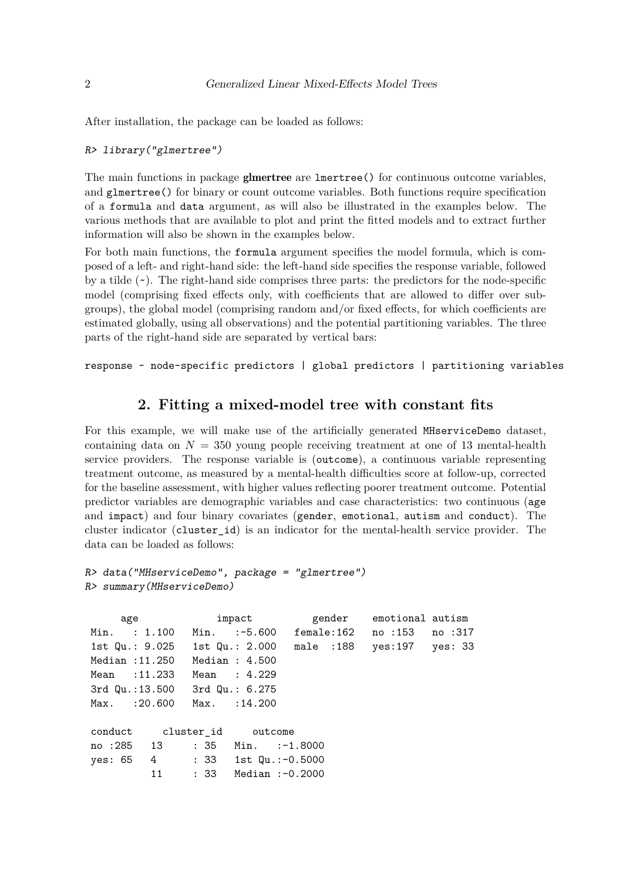After installation, the package can be loaded as follows:

#### *R> library("glmertree")*

The main functions in package **glmertree** are lmertree() for continuous outcome variables, and glmertree() for binary or count outcome variables. Both functions require specification of a formula and data argument, as will also be illustrated in the examples below. The various methods that are available to plot and print the fitted models and to extract further information will also be shown in the examples below.

For both main functions, the formula argument specifies the model formula, which is composed of a left- and right-hand side: the left-hand side specifies the response variable, followed by a tilde  $(\sim)$ . The right-hand side comprises three parts: the predictors for the node-specific model (comprising fixed effects only, with coefficients that are allowed to differ over subgroups), the global model (comprising random and/or fixed effects, for which coefficients are estimated globally, using all observations) and the potential partitioning variables. The three parts of the right-hand side are separated by vertical bars:

response ~ node-specific predictors | global predictors | partitioning variables

## **2. Fitting a mixed-model tree with constant fits**

<span id="page-1-0"></span>For this example, we will make use of the artificially generated MHserviceDemo dataset, containing data on  $N = 350$  young people receiving treatment at one of 13 mental-health service providers. The response variable is (outcome), a continuous variable representing treatment outcome, as measured by a mental-health difficulties score at follow-up, corrected for the baseline assessment, with higher values reflecting poorer treatment outcome. Potential predictor variables are demographic variables and case characteristics: two continuous (age and impact) and four binary covariates (gender, emotional, autism and conduct). The cluster indicator (cluster\_id) is an indicator for the mental-health service provider. The data can be loaded as follows:

```
R> data("MHserviceDemo", package = "glmertree")
R> summary(MHserviceDemo)
```
age impact gender emotional autism Min. : 1.100 Min. :-5.600 female:162 no :153 no :317 1st Qu.: 9.025 1st Qu.: 2.000 male :188 yes:197 yes: 33 Median :11.250 Median : 4.500 Mean : 11.233 Mean : 4.229 3rd Qu.:13.500 3rd Qu.: 6.275 Max. : 20.600 Max. : 14.200 conduct cluster\_id outcome no :285 13 : 35 Min. :-1.8000 yes: 65 4 : 33 1st Qu.:-0.5000 11 : 33 Median :-0.2000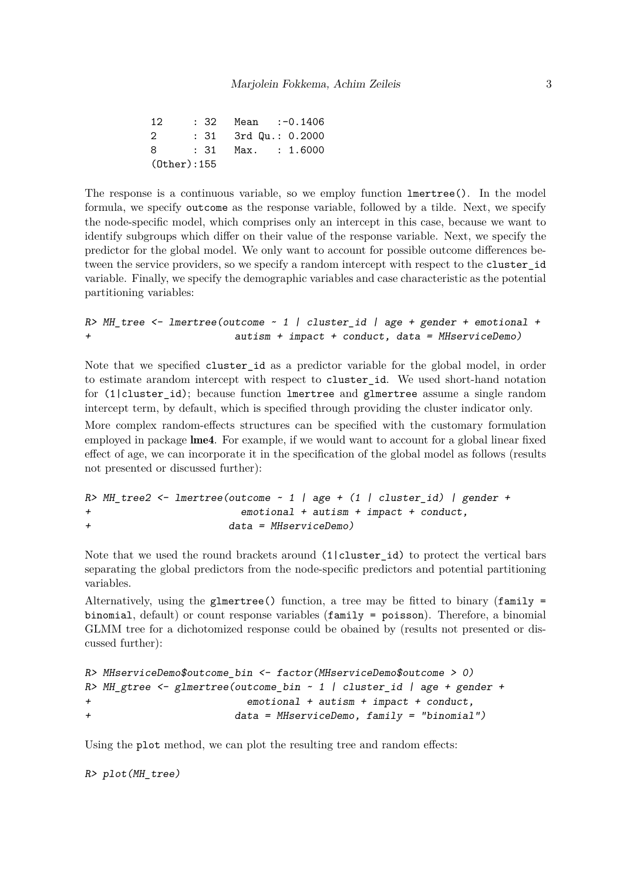| 12                | : 32 Mean :-0.1406   |
|-------------------|----------------------|
| - 2               | : 31 3rd Qu.: 0.2000 |
| -8                | : 31 Max. : 1.6000   |
| $(0$ ther $):155$ |                      |

The response is a continuous variable, so we employ function lmertree(). In the model formula, we specify outcome as the response variable, followed by a tilde. Next, we specify the node-specific model, which comprises only an intercept in this case, because we want to identify subgroups which differ on their value of the response variable. Next, we specify the predictor for the global model. We only want to account for possible outcome differences between the service providers, so we specify a random intercept with respect to the cluster\_id variable. Finally, we specify the demographic variables and case characteristic as the potential partitioning variables:

*R> MH\_tree <- lmertree(outcome ~ 1 | cluster\_id | age + gender + emotional + + autism + impact + conduct, data = MHserviceDemo)*

Note that we specified cluster\_id as a predictor variable for the global model, in order to estimate arandom intercept with respect to cluster\_id. We used short-hand notation for (1|cluster\_id); because function lmertree and glmertree assume a single random intercept term, by default, which is specified through providing the cluster indicator only.

More complex random-effects structures can be specified with the customary formulation employed in package lme4. For example, if we would want to account for a global linear fixed effect of age, we can incorporate it in the specification of the global model as follows (results not presented or discussed further):

```
R> MH_tree2 <- lmertree(outcome ~ 1 | age + (1 | cluster_id) | gender +
+ emotional + autism + impact + conduct,
+ data = MHserviceDemo)
```
Note that we used the round brackets around  $(1|cluster_id)$  to protect the vertical bars separating the global predictors from the node-specific predictors and potential partitioning variables.

Alternatively, using the glmertree() function, a tree may be fitted to binary  $(family =$ binomial, default) or count response variables (family = poisson). Therefore, a binomial GLMM tree for a dichotomized response could be obained by (results not presented or discussed further):

```
R> MHserviceDemo$outcome_bin <- factor(MHserviceDemo$outcome > 0)
R> MH_gtree <- glmertree(outcome_bin ~ 1 | cluster_id | age + gender +
+ emotional + autism + impact + conduct,
+ data = MHserviceDemo, family = "binomial")
```
Using the plot method, we can plot the resulting tree and random effects:

*R> plot(MH\_tree)*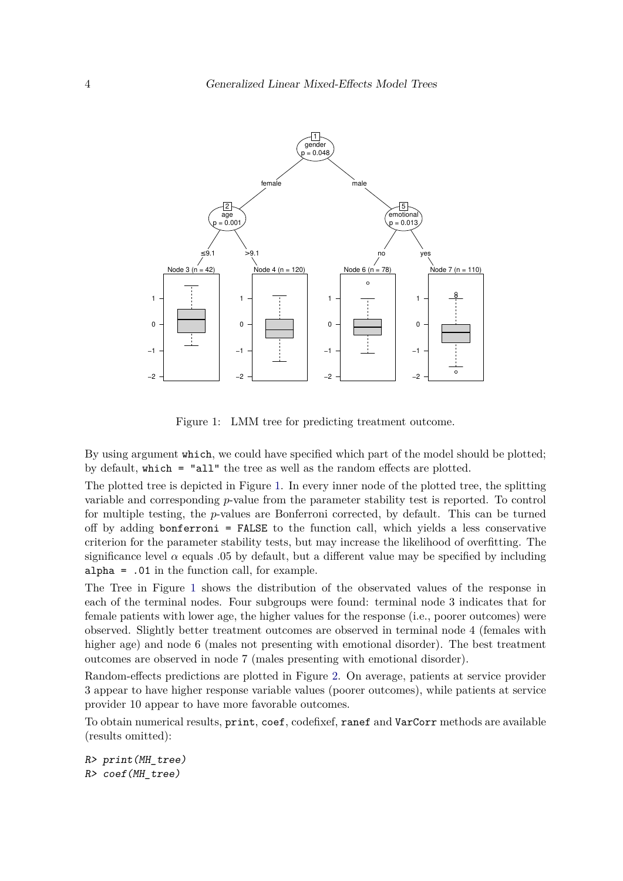

<span id="page-3-0"></span>Figure 1: LMM tree for predicting treatment outcome.

By using argument which, we could have specified which part of the model should be plotted; by default, which = "all" the tree as well as the random effects are plotted.

The plotted tree is depicted in Figure [1.](#page-3-0) In every inner node of the plotted tree, the splitting variable and corresponding *p*-value from the parameter stability test is reported. To control for multiple testing, the *p*-values are Bonferroni corrected, by default. This can be turned off by adding bonferroni = FALSE to the function call, which yields a less conservative criterion for the parameter stability tests, but may increase the likelihood of overfitting. The significance level  $\alpha$  equals .05 by default, but a different value may be specified by including alpha = .01 in the function call, for example.

The Tree in Figure [1](#page-3-0) shows the distribution of the observated values of the response in each of the terminal nodes. Four subgroups were found: terminal node 3 indicates that for female patients with lower age, the higher values for the response (i.e., poorer outcomes) were observed. Slightly better treatment outcomes are observed in terminal node 4 (females with higher age) and node 6 (males not presenting with emotional disorder). The best treatment outcomes are observed in node 7 (males presenting with emotional disorder).

Random-effects predictions are plotted in Figure [2.](#page-4-0) On average, patients at service provider 3 appear to have higher response variable values (poorer outcomes), while patients at service provider 10 appear to have more favorable outcomes.

To obtain numerical results, print, coef, codefixef, ranef and VarCorr methods are available (results omitted):

*R> print(MH\_tree) R> coef(MH\_tree)*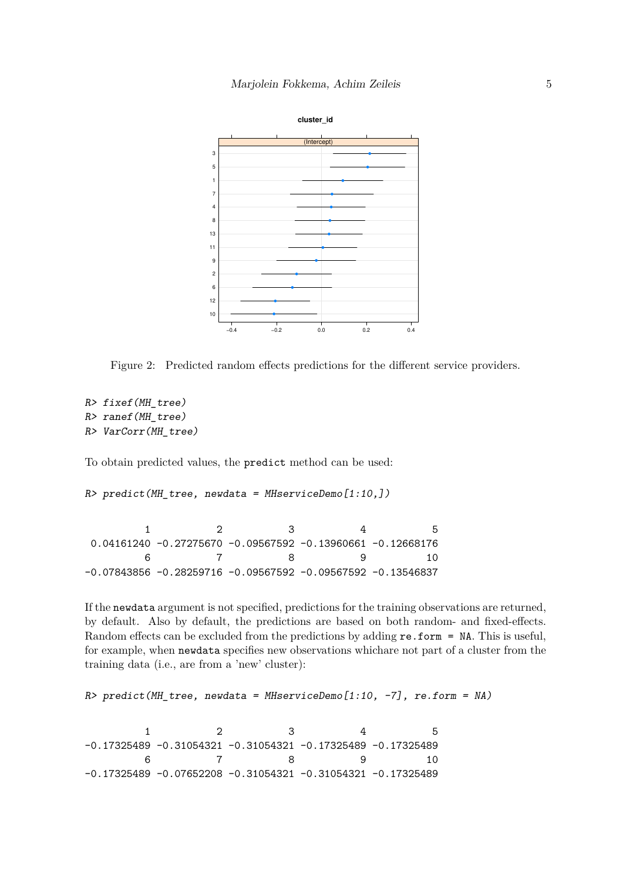

<span id="page-4-0"></span>Figure 2: Predicted random effects predictions for the different service providers.

```
R> fixef(MH_tree)
R> ranef(MH_tree)
R> VarCorr(MH_tree)
```
To obtain predicted values, the predict method can be used:

*R> predict(MH\_tree, newdata = MHserviceDemo[1:10,])*

1 2 3 4 5 0.04161240 -0.27275670 -0.09567592 -0.13960661 -0.12668176 6 7 8 9 10 -0.07843856 -0.28259716 -0.09567592 -0.09567592 -0.13546837

If the newdata argument is not specified, predictions for the training observations are returned, by default. Also by default, the predictions are based on both random- and fixed-effects. Random effects can be excluded from the predictions by adding  $re.format = NA$ . This is useful, for example, when newdata specifies new observations whichare not part of a cluster from the training data (i.e., are from a 'new' cluster):

```
R> predict(MH_tree, newdata = MHserviceDemo[1:10, -7], re.form = NA)
```
1 2 3 4 5 -0.17325489 -0.31054321 -0.31054321 -0.17325489 -0.17325489 6 7 8 9 10 -0.17325489 -0.07652208 -0.31054321 -0.31054321 -0.17325489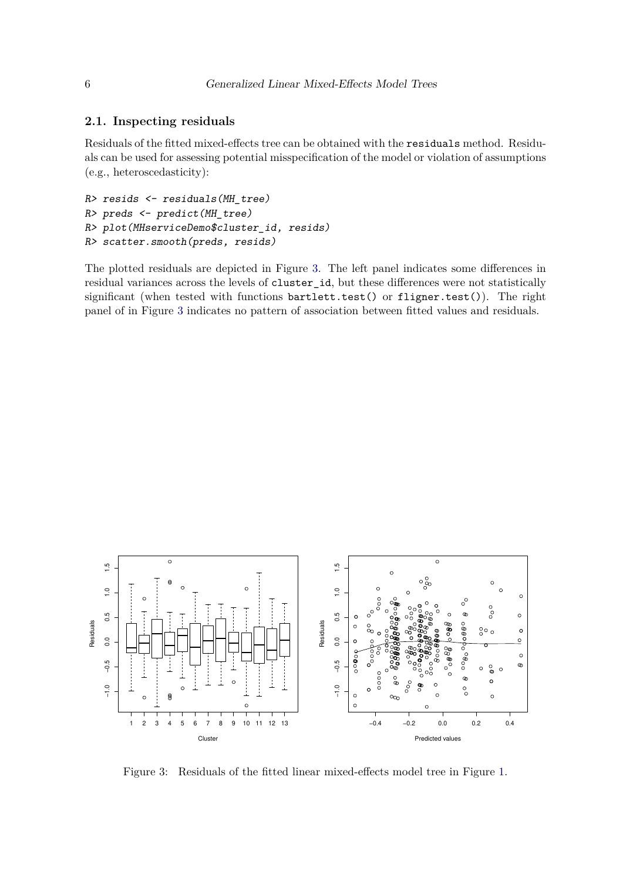#### **2.1. Inspecting residuals**

Residuals of the fitted mixed-effects tree can be obtained with the residuals method. Residuals can be used for assessing potential misspecification of the model or violation of assumptions (e.g., heteroscedasticity):

```
R> resids <- residuals(MH_tree)
R> preds <- predict(MH_tree)
R> plot(MHserviceDemo$cluster_id, resids)
R> scatter.smooth(preds, resids)
```
The plotted residuals are depicted in Figure [3.](#page-5-0) The left panel indicates some differences in residual variances across the levels of cluster\_id, but these differences were not statistically significant (when tested with functions bartlett.test() or fligner.test()). The right panel of in Figure [3](#page-5-0) indicates no pattern of association between fitted values and residuals.



<span id="page-5-0"></span>Figure 3: Residuals of the fitted linear mixed-effects model tree in Figure [1.](#page-3-0)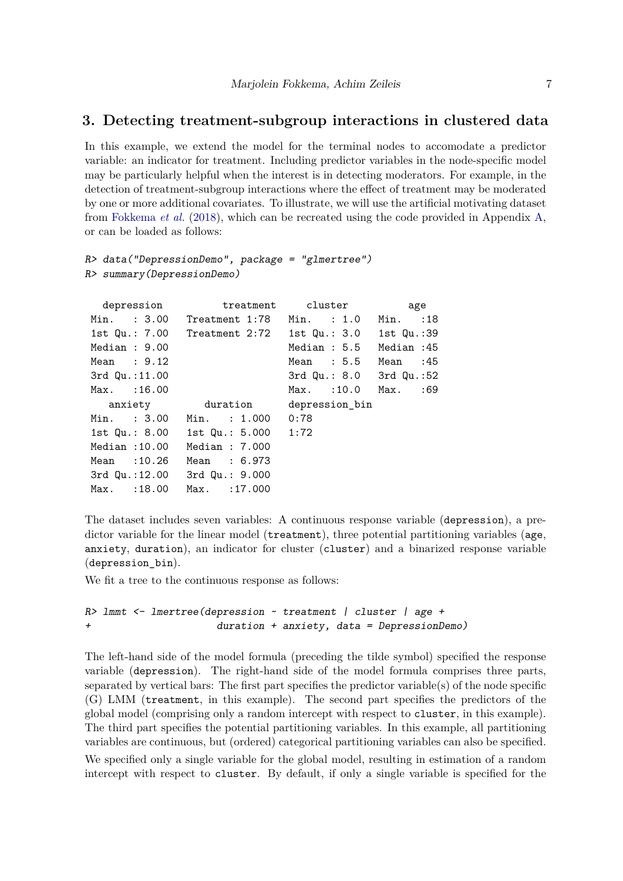## <span id="page-6-0"></span>**3. Detecting treatment-subgroup interactions in clustered data**

In this example, we extend the model for the terminal nodes to accomodate a predictor variable: an indicator for treatment. Including predictor variables in the node-specific model may be particularly helpful when the interest is in detecting moderators. For example, in the detection of treatment-subgroup interactions where the effect of treatment may be moderated by one or more additional covariates. To illustrate, we will use the artificial motivating dataset from [Fokkema](#page-16-0) *et al.* [\(2018\)](#page-16-0), which can be recreated using the code provided in Appendix [A,](#page-16-3) or can be loaded as follows:

```
R> data("DepressionDemo", package = "glmertree")
R> summary(DepressionDemo)
```

| depression                   |                                                      | treatment cluster             | age      |  |
|------------------------------|------------------------------------------------------|-------------------------------|----------|--|
|                              | Min. : 3.00 Treatment 1:78 Min. : 1.0                |                               | Min. :18 |  |
|                              | 1st Qu.: 7.00 Treatment 2:72 1st Qu.: 3.0 1st Qu.:39 |                               |          |  |
| Median: 9.00                 |                                                      | Median: 5.5 Median: 45        |          |  |
| Mean : 9.12                  |                                                      | Mean : 5.5 Mean : 45          |          |  |
| $3rd$ Qu.:11.00              |                                                      | $3rd$ Qu.: $8.0$ $3rd$ Qu.:52 |          |  |
| Max. : 16.00                 |                                                      | Max. : 10.0 Max. : 69         |          |  |
|                              | anxiety duration                                     | depression bin                |          |  |
|                              | Min. : 3.00 Min. : 1.000                             | 0:78                          |          |  |
|                              | 1st Qu.: 8.00 1st Qu.: 5.000 1:72                    |                               |          |  |
| Median :10.00                | Median : 7.000                                       |                               |          |  |
| Mean :10.26                  | Mean : 6.973                                         |                               |          |  |
| 3rd Qu.:12.00 3rd Qu.: 9.000 |                                                      |                               |          |  |
| Max. : 18.00                 | $Max.$ : 17.000                                      |                               |          |  |

The dataset includes seven variables: A continuous response variable (depression), a predictor variable for the linear model (treatment), three potential partitioning variables (age, anxiety, duration), an indicator for cluster (cluster) and a binarized response variable (depression\_bin).

We fit a tree to the continuous response as follows:

```
R> lmmt <- lmertree(depression ~ treatment | cluster | age +
+ duration + anxiety, data = DepressionDemo)
```
The left-hand side of the model formula (preceding the tilde symbol) specified the response variable (depression). The right-hand side of the model formula comprises three parts, separated by vertical bars: The first part specifies the predictor variable(s) of the node specific (G) LMM (treatment, in this example). The second part specifies the predictors of the global model (comprising only a random intercept with respect to cluster, in this example). The third part specifies the potential partitioning variables. In this example, all partitioning variables are continuous, but (ordered) categorical partitioning variables can also be specified. We specified only a single variable for the global model, resulting in estimation of a random intercept with respect to cluster. By default, if only a single variable is specified for the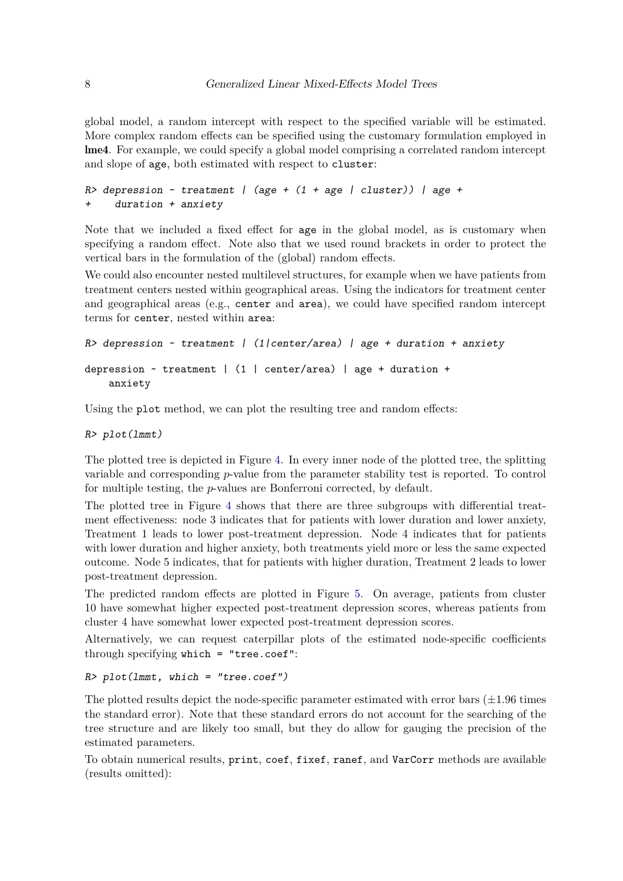global model, a random intercept with respect to the specified variable will be estimated. More complex random effects can be specified using the customary formulation employed in lme4. For example, we could specify a global model comprising a correlated random intercept and slope of age, both estimated with respect to cluster:

```
R> depression ~ treatment | (age + (1 + age | cluster)) | age +
+ duration + anxiety
```
Note that we included a fixed effect for age in the global model, as is customary when specifying a random effect. Note also that we used round brackets in order to protect the vertical bars in the formulation of the (global) random effects.

We could also encounter nested multilevel structures, for example when we have patients from treatment centers nested within geographical areas. Using the indicators for treatment center and geographical areas (e.g., center and area), we could have specified random intercept terms for center, nested within area:

```
R> depression ~ treatment | (1|center/area) | age + duration + anxiety
depression \sim treatment | (1 | center/area) | age + duration +
   anxiety
```
Using the plot method, we can plot the resulting tree and random effects:

*R> plot(lmmt)*

The plotted tree is depicted in Figure [4.](#page-8-0) In every inner node of the plotted tree, the splitting variable and corresponding *p*-value from the parameter stability test is reported. To control for multiple testing, the *p*-values are Bonferroni corrected, by default.

The plotted tree in Figure [4](#page-8-0) shows that there are three subgroups with differential treatment effectiveness: node 3 indicates that for patients with lower duration and lower anxiety, Treatment 1 leads to lower post-treatment depression. Node 4 indicates that for patients with lower duration and higher anxiety, both treatments yield more or less the same expected outcome. Node 5 indicates, that for patients with higher duration, Treatment 2 leads to lower post-treatment depression.

The predicted random effects are plotted in Figure [5.](#page-8-1) On average, patients from cluster 10 have somewhat higher expected post-treatment depression scores, whereas patients from cluster 4 have somewhat lower expected post-treatment depression scores.

Alternatively, we can request caterpillar plots of the estimated node-specific coefficients through specifying which = "tree.coef":

*R> plot(lmmt, which = "tree.coef")*

The plotted results depict the node-specific parameter estimated with error bars  $(\pm 1.96$  times the standard error). Note that these standard errors do not account for the searching of the tree structure and are likely too small, but they do allow for gauging the precision of the estimated parameters.

To obtain numerical results, print, coef, fixef, ranef, and VarCorr methods are available (results omitted):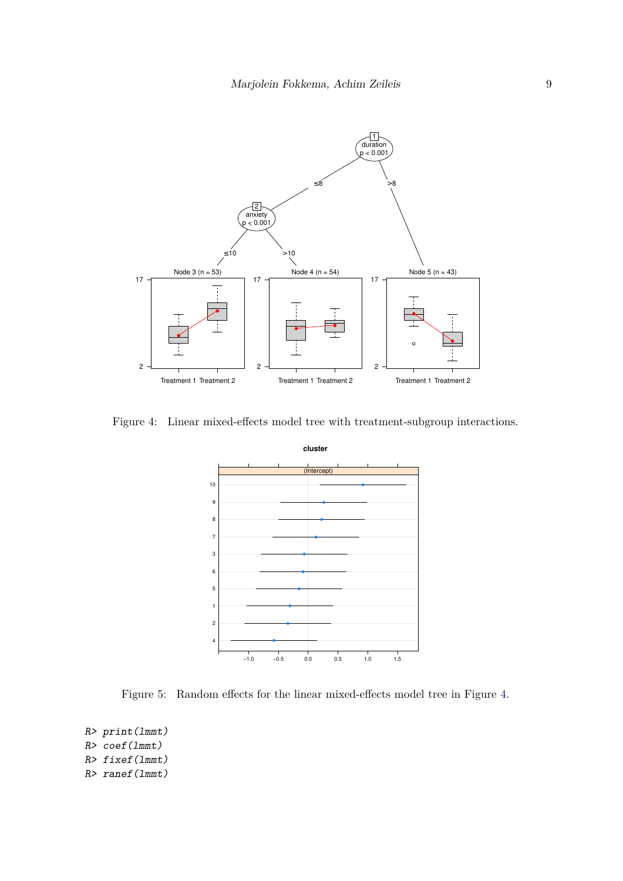

Figure 4: Linear mixed-effects model tree with treatment-subgroup interactions.

<span id="page-8-0"></span>

<span id="page-8-1"></span>Figure 5: Random effects for the linear mixed-effects model tree in Figure [4.](#page-8-0)

*R> print(lmmt) R> coef(lmmt) R> fixef(lmmt) R> ranef(lmmt)*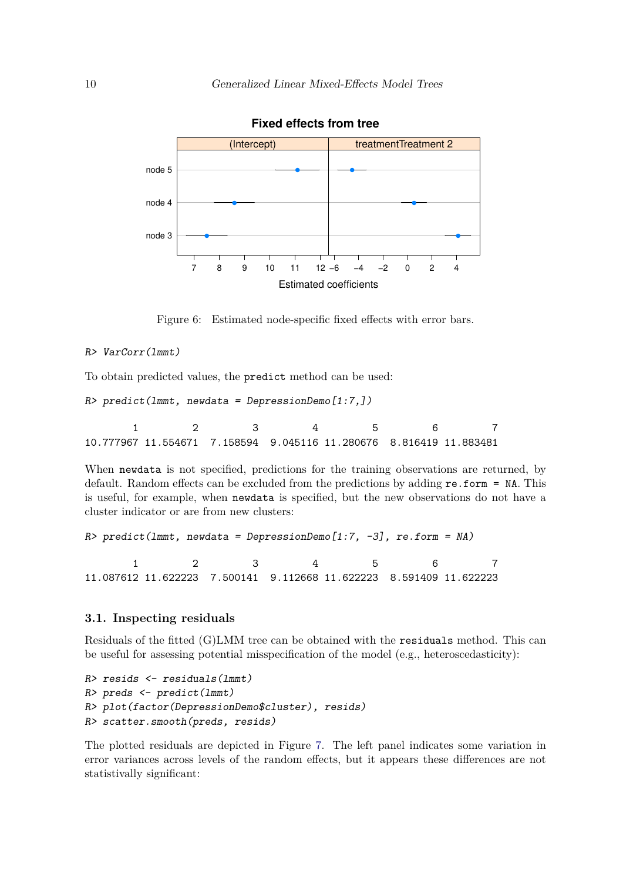

**Fixed effects from tree**

Figure 6: Estimated node-specific fixed effects with error bars.

#### *R> VarCorr(lmmt)*

To obtain predicted values, the predict method can be used:

```
R> predict(lmmt, newdata = DepressionDemo[1:7,])
```
1 2 3 4 5 6 7 10.777967 11.554671 7.158594 9.045116 11.280676 8.816419 11.883481

When newdata is not specified, predictions for the training observations are returned, by default. Random effects can be excluded from the predictions by adding re.form = NA. This is useful, for example, when newdata is specified, but the new observations do not have a cluster indicator or are from new clusters:

```
R> predict(lmmt, newdata = DepressionDemo[1:7, -3], re.form = NA)
      1 2 3 4 5 6 7
11.087612 11.622223 7.500141 9.112668 11.622223 8.591409 11.622223
```
#### **3.1. Inspecting residuals**

Residuals of the fitted (G)LMM tree can be obtained with the residuals method. This can be useful for assessing potential misspecification of the model (e.g., heteroscedasticity):

```
R> resids <- residuals(lmmt)
R> preds <- predict(lmmt)
R> plot(factor(DepressionDemo$cluster), resids)
R> scatter.smooth(preds, resids)
```
The plotted residuals are depicted in Figure [7.](#page-10-1) The left panel indicates some variation in error variances across levels of the random effects, but it appears these differences are not statistivally significant: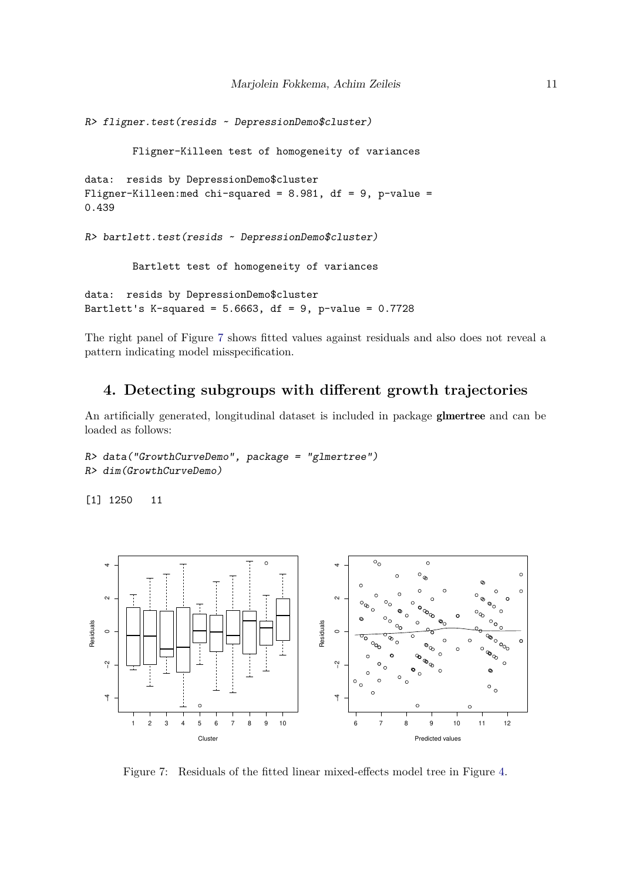```
R> fligner.test(resids ~ DepressionDemo$cluster)
        Fligner-Killeen test of homogeneity of variances
data: resids by DepressionDemo$cluster
Fligner-Killeen:med chi-squared = 8.981, df = 9, p-value =
0.439
R> bartlett.test(resids ~ DepressionDemo$cluster)
        Bartlett test of homogeneity of variances
data: resids by DepressionDemo$cluster
Bartlett's K-squared = 5.6663, df = 9, p-value = 0.7728
```
The right panel of Figure [7](#page-10-1) shows fitted values against residuals and also does not reveal a pattern indicating model misspecification.

# <span id="page-10-0"></span>**4. Detecting subgroups with different growth trajectories**

An artificially generated, longitudinal dataset is included in package glmertree and can be loaded as follows:

```
R> data("GrowthCurveDemo", package = "glmertree")
R> dim(GrowthCurveDemo)
```
[1] 1250 11



<span id="page-10-1"></span>Figure 7: Residuals of the fitted linear mixed-effects model tree in Figure [4.](#page-8-0)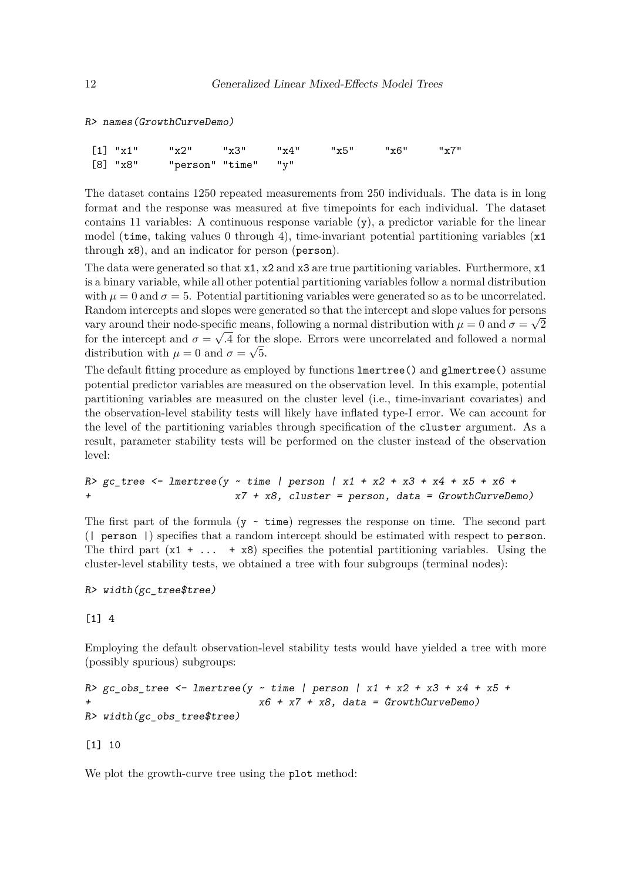*R> names(GrowthCurveDemo)*

| $\begin{bmatrix} 1 \end{bmatrix}$ "x1" | "x2" "x3" "x4" "x5" "x6" "x7" |  |  |  |
|----------------------------------------|-------------------------------|--|--|--|
| [8] "x8"                               | "person" "time"  "y"          |  |  |  |

The dataset contains 1250 repeated measurements from 250 individuals. The data is in long format and the response was measured at five timepoints for each individual. The dataset contains 11 variables: A continuous response variable (y), a predictor variable for the linear model (time, taking values 0 through 4), time-invariant potential partitioning variables  $(x1)$ through x8), and an indicator for person (person).

The data were generated so that x1, x2 and x3 are true partitioning variables. Furthermore, x1 is a binary variable, while all other potential partitioning variables follow a normal distribution with  $\mu = 0$  and  $\sigma = 5$ . Potential partitioning variables were generated so as to be uncorrelated. Random intercepts and slopes were generated so that the intercept and slope values for persons vary around their node-specific means, following a normal distribution with  $\mu = 0$  and  $\sigma = \sqrt{2}$ for the intercept and  $\sigma = \sqrt{.4}$  for the slope. Errors were uncorrelated and followed a normal distribution with  $\mu = 0$  and  $\sigma = \sqrt{5}$ .

The default fitting procedure as employed by functions lmertree() and glmertree() assume potential predictor variables are measured on the observation level. In this example, potential partitioning variables are measured on the cluster level (i.e., time-invariant covariates) and the observation-level stability tests will likely have inflated type-I error. We can account for the level of the partitioning variables through specification of the cluster argument. As a result, parameter stability tests will be performed on the cluster instead of the observation level:

```
R> gc_tree <- lmertree(y ~ time | person | x1 + x2 + x3 + x4 + x5 + x6 +
                         + x7 + x8, cluster = person, data = GrowthCurveDemo)
```
The first part of the formula  $(y - time)$  regresses the response on time. The second part (| person |) specifies that a random intercept should be estimated with respect to person. The third part  $(x1 + ... + x8)$  specifies the potential partitioning variables. Using the cluster-level stability tests, we obtained a tree with four subgroups (terminal nodes):

```
R> width(gc_tree$tree)
```
[1] 4

Employing the default observation-level stability tests would have yielded a tree with more (possibly spurious) subgroups:

```
R> gc_obs_tree <- lmertree(y ~ time | person | x1 + x2 + x3 + x4 + x5 +
                             + x6 + x7 + x8, data = GrowthCurveDemo)
R> width(gc_obs_tree$tree)
```
[1] 10

We plot the growth-curve tree using the plot method: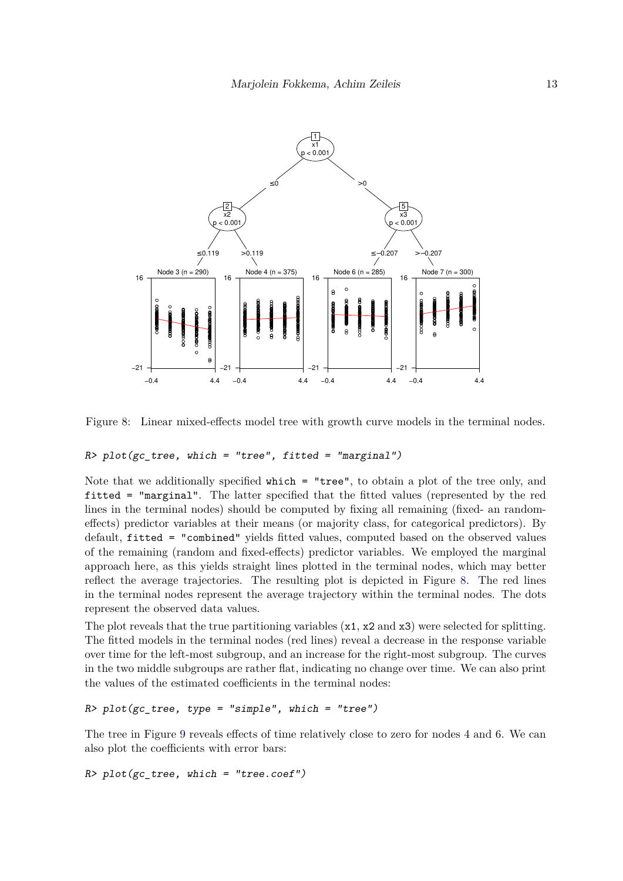

<span id="page-12-0"></span>Figure 8: Linear mixed-effects model tree with growth curve models in the terminal nodes.

#### *R> plot(gc\_tree, which = "tree", fitted = "marginal")*

Note that we additionally specified which = "tree", to obtain a plot of the tree only, and fitted = "marginal". The latter specified that the fitted values (represented by the red lines in the terminal nodes) should be computed by fixing all remaining (fixed- an randomeffects) predictor variables at their means (or majority class, for categorical predictors). By default, fitted = "combined" yields fitted values, computed based on the observed values of the remaining (random and fixed-effects) predictor variables. We employed the marginal approach here, as this yields straight lines plotted in the terminal nodes, which may better reflect the average trajectories. The resulting plot is depicted in Figure [8.](#page-12-0) The red lines in the terminal nodes represent the average trajectory within the terminal nodes. The dots represent the observed data values.

The plot reveals that the true partitioning variables (x1, x2 and x3) were selected for splitting. The fitted models in the terminal nodes (red lines) reveal a decrease in the response variable over time for the left-most subgroup, and an increase for the right-most subgroup. The curves in the two middle subgroups are rather flat, indicating no change over time. We can also print the values of the estimated coefficients in the terminal nodes:

#### *R> plot(gc\_tree, type = "simple", which = "tree")*

The tree in Figure [9](#page-13-0) reveals effects of time relatively close to zero for nodes 4 and 6. We can also plot the coefficients with error bars:

```
R> plot(gc_tree, which = "tree.coef")
```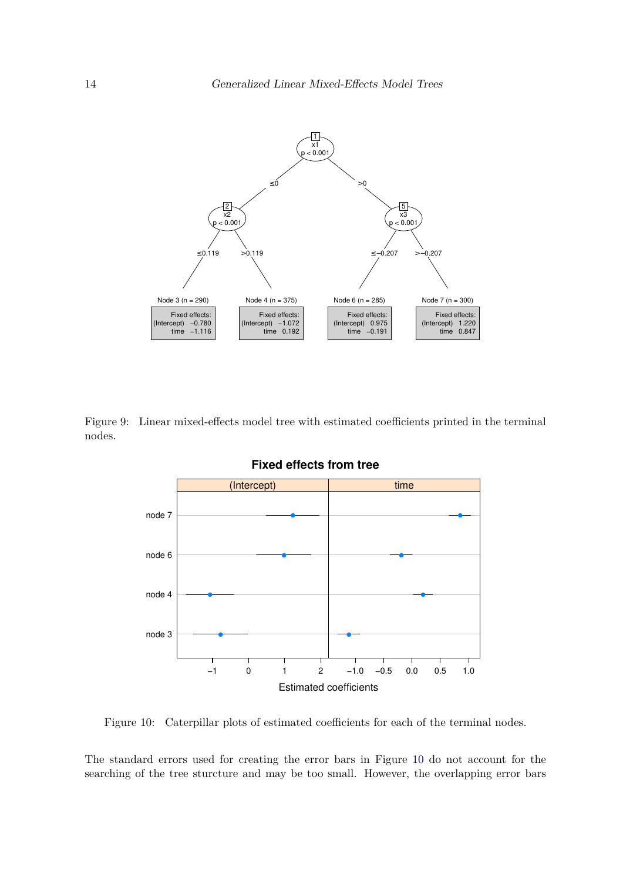

Figure 9: Linear mixed-effects model tree with estimated coefficients printed in the terminal nodes.

<span id="page-13-0"></span>

<span id="page-13-1"></span>Figure 10: Caterpillar plots of estimated coefficients for each of the terminal nodes.

The standard errors used for creating the error bars in Figure [10](#page-13-1) do not account for the searching of the tree sturcture and may be too small. However, the overlapping error bars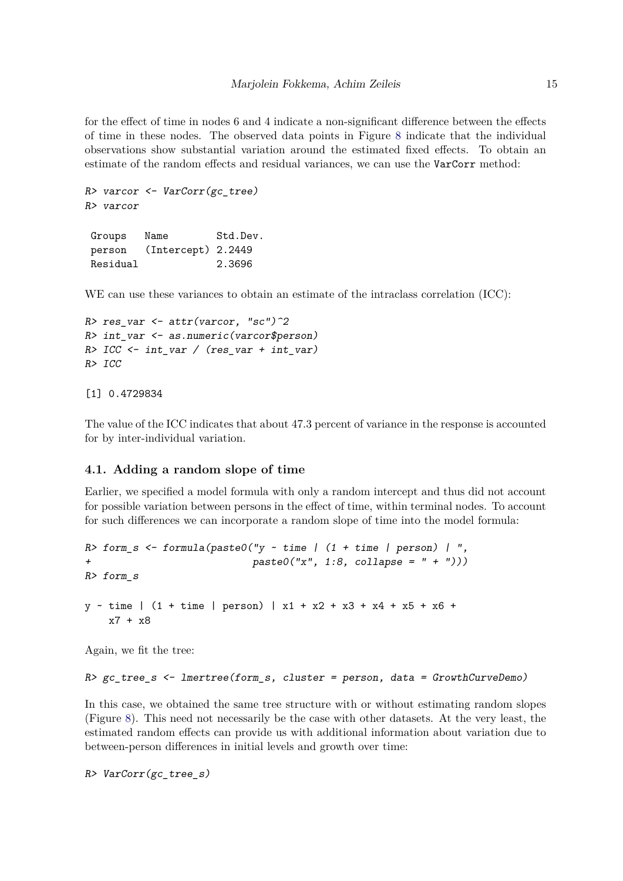for the effect of time in nodes 6 and 4 indicate a non-significant difference between the effects of time in these nodes. The observed data points in Figure [8](#page-12-0) indicate that the individual observations show substantial variation around the estimated fixed effects. To obtain an estimate of the random effects and residual variances, we can use the VarCorr method:

```
R> varcor <- VarCorr(gc_tree)
R> varcor
```
Groups Name Std.Dev. person (Intercept) 2.2449 Residual 2.3696

WE can use these variances to obtain an estimate of the intraclass correlation (ICC):

```
R> res_var <- attr(varcor, "sc")^2
R> int_var <- as.numeric(varcor$person)
R> ICC <- int_var / (res_var + int_var)
R> ICC
```
[1] 0.4729834

The value of the ICC indicates that about 47.3 percent of variance in the response is accounted for by inter-individual variation.

#### **4.1. Adding a random slope of time**

Earlier, we specified a model formula with only a random intercept and thus did not account for possible variation between persons in the effect of time, within terminal nodes. To account for such differences we can incorporate a random slope of time into the model formula:

```
R> form s <- formula(paste0("y \sim time | (1 + time | person) | ",
                             + paste0("x", 1:8, collapse = " + ")))
R> form_s
y ~ time | (1 + time | person) | x1 + x2 + x3 + x4 + x5 + x6 +
    x7 + x8
```
Again, we fit the tree:

```
R> gc_tree_s <- lmertree(form_s, cluster = person, data = GrowthCurveDemo)
```
In this case, we obtained the same tree structure with or without estimating random slopes (Figure [8\)](#page-12-0). This need not necessarily be the case with other datasets. At the very least, the estimated random effects can provide us with additional information about variation due to between-person differences in initial levels and growth over time:

*R> VarCorr(gc\_tree\_s)*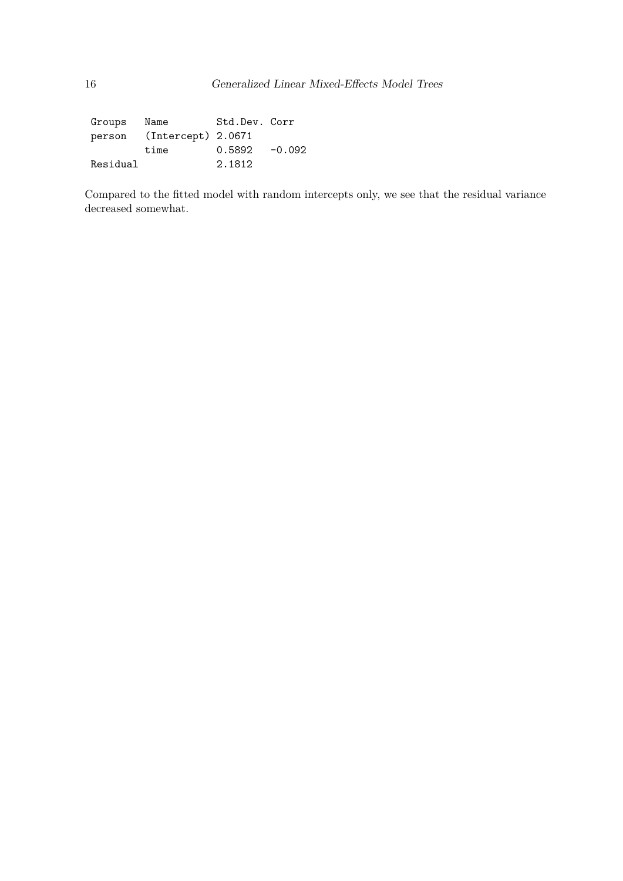Groups Name Std.Dev. Corr person (Intercept) 2.0671 time  $0.5892 -0.092$ Residual 2.1812

Compared to the fitted model with random intercepts only, we see that the residual variance decreased somewhat.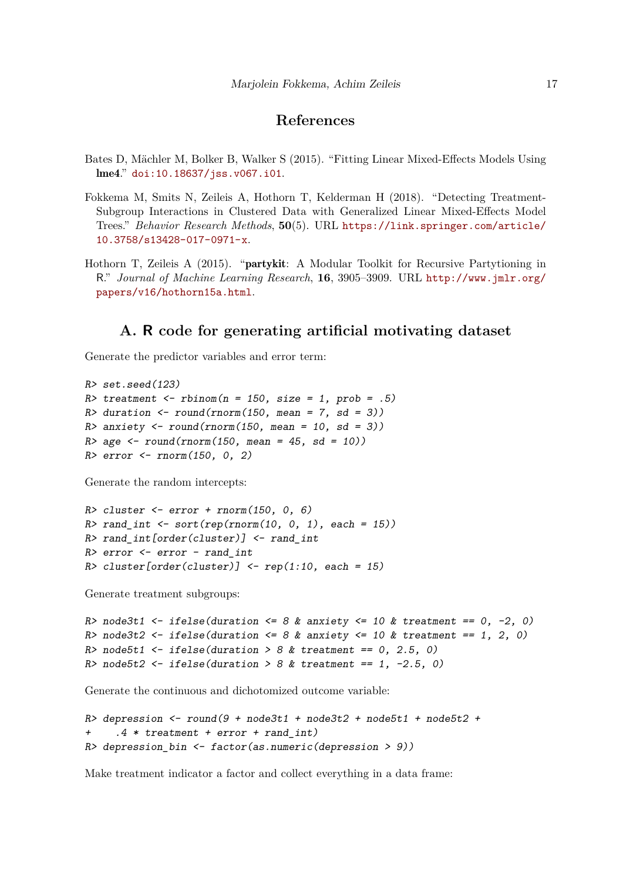# **References**

- <span id="page-16-2"></span>Bates D, Mächler M, Bolker B, Walker S (2015). "Fitting Linear Mixed-Effects Models Using lme4." [doi:10.18637/jss.v067.i01](http://dx.doi.org/10.18637/jss.v067.i01).
- <span id="page-16-0"></span>Fokkema M, Smits N, Zeileis A, Hothorn T, Kelderman H (2018). "Detecting Treatment-Subgroup Interactions in Clustered Data with Generalized Linear Mixed-Effects Model Trees." *Behavior Research Methods*, **50**(5). URL [https://link.springer.com/article/](https://link.springer.com/article/10.3758/s13428-017-0971-x) [10.3758/s13428-017-0971-x](https://link.springer.com/article/10.3758/s13428-017-0971-x).
- <span id="page-16-1"></span>Hothorn T, Zeileis A (2015). "partykit: A Modular Toolkit for Recursive Partytioning in R." *Journal of Machine Learning Research*, **16**, 3905–3909. URL [http://www.jmlr.org/](http://www.jmlr.org/papers/v16/hothorn15a.html) [papers/v16/hothorn15a.html](http://www.jmlr.org/papers/v16/hothorn15a.html).

# **A. R code for generating artificial motivating dataset**

<span id="page-16-3"></span>Generate the predictor variables and error term:

```
R> set.seed(123)
R> treatment <- rbinom(n = 150, size = 1, prob = .5)
R> duration <- round(rnorm(150, mean = 7, sd = 3))
R> anxiety <- round(rnorm(150, mean = 10, sd = 3))
R> age <- round(rnorm(150, mean = 45, sd = 10))
R> error <- rnorm(150, 0, 2)
```
Generate the random intercepts:

```
R> cluster <- error + rnorm(150, 0, 6)
R> rand_int <- sort(rep(rnorm(10, 0, 1), each = 15))
R> rand_int[order(cluster)] <- rand_int
R> error <- error - rand_int
R> cluster[order(cluster)] <- rep(1:10, each = 15)
```
Generate treatment subgroups:

```
R> node3t1 <- ifelse(duration <= 8 & anxiety <= 10 & treatment == 0, -2, 0)
R> node3t2 <- ifelse(duration <= 8 & anxiety <= 10 & treatment == 1, 2, 0)
R> node5t1 <- ifelse(duration > 8 & treatment == 0, 2.5, 0)
R> node5t2 <- ifelse(duration > 8 & treatment == 1, -2.5, 0)
```
Generate the continuous and dichotomized outcome variable:

```
R> depression <- round(9 + node3t1 + node3t2 + node5t1 + node5t2 +
+ .4 * treatment + error + rand_int)
R> depression_bin <- factor(as.numeric(depression > 9))
```
Make treatment indicator a factor and collect everything in a data frame: